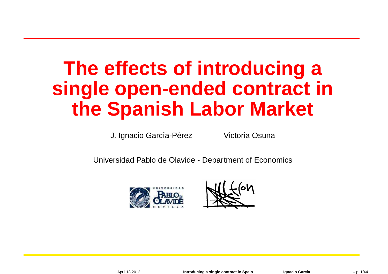# **The effects of introducing <sup>a</sup>single open-ended contract inthe Spanish Labor Market**

J. Ignacio García-Pérez

Victoria Osuna

Universidad Pablo de Olavide - Department of Economics



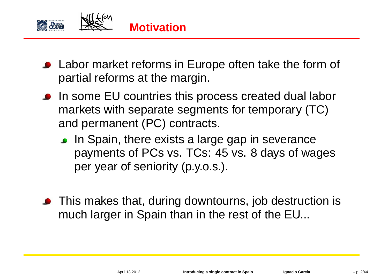

- **.** Labor market reforms in Europe often take the form of partial reforms at the margin.
- **In some EU countries this process created dual labor** markets with separate segments for temporary (TC)and permanent (PC) contracts.
	- **In Spain, there exists a large gap in severance**  payments of PCs vs. TCs: 45 vs. 8 days of wagesper year of seniority (p.y.o.s.).
- **•** This makes that, during downtourns, job destruction is much larger in Spain than in the rest of the EU...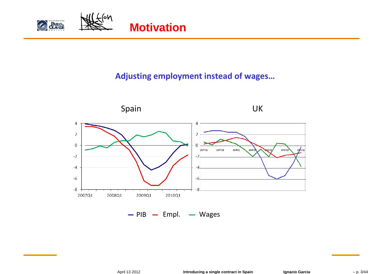

#### **Adjusting employment instead of wages…**

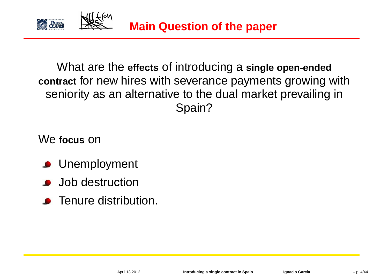

What are the **effects** of introducing <sup>a</sup> **single open-ended contract** for new hires with severance payments growing withseniority as an alternative to the dual market prevailing inSpain?

We **focus** on

- **C** Unemployment
- **Job destruction**
- **•** Tenure distribution.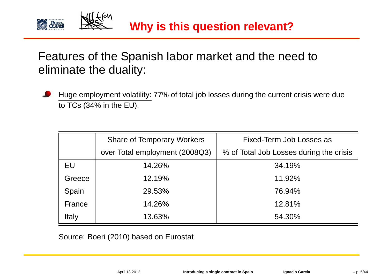

## Features of the Spanish labor market and the need toeliminate the duality:

Huge employment volatility: 77% of total job losses during the current crisis were dueto TCs (34% in the EU).

|        | <b>Share of Temporary Workers</b> | Fixed-Term Job Losses as                |
|--------|-----------------------------------|-----------------------------------------|
|        | over Total employment (2008Q3)    | % of Total Job Losses during the crisis |
| EU     | 14.26%                            | 34.19%                                  |
| Greece | 12.19%                            | 11.92%                                  |
| Spain  | 29.53%                            | 76.94%                                  |
| France | 14.26%                            | 12.81%                                  |
| Italy  | 13.63%                            | 54.30%                                  |

Source: Boeri (2010) based on Eurostat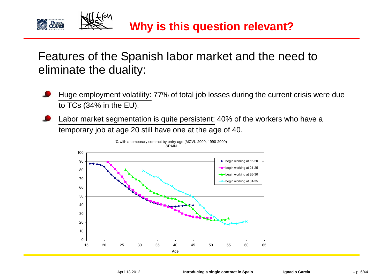

## Features of the Spanish labor market and the need toeliminate the duality:

- Huge employment volatility: 77% of total job losses during the current crisis were dueto TCs (34% in the EU).
- Labor market segmentation is quite persistent: 40% of the workers who have <sup>a</sup>temporary job at age 20 still have one at the age of 40.

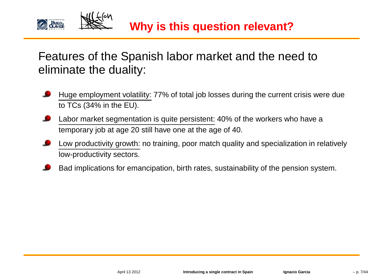

## Features of the Spanish labor market and the need toeliminate the duality:

- Huge employment volatility: 77% of total job losses during the current crisis were dueto TCs (34% in the EU).
- Labor market segmentation is quite persistent: 40% of the workers who have <sup>a</sup>temporary job at age 20 still have one at the age of 40.
- Low productivity growth: no training, poor match quality and specialization in relativelylow-productivity sectors.
- Bad implications for emancipation, birth rates, sustainability of the pension system.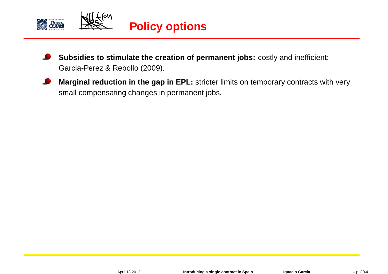

- **Subsidies to stimulate the creation of permanent jobs:** costly and inefficient: Garcia-Perez & Rebollo (2009).
- **Marginal reduction in the gap in EPL:** stricter limits on temporary contracts with verysmall compensating changes in permanent jobs.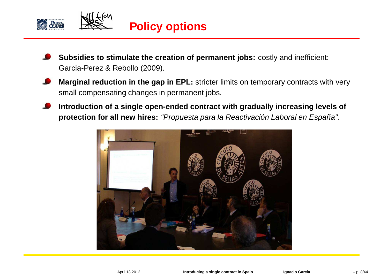

- **Subsidies to stimulate the creation of permanent jobs:** costly and inefficient: Garcia-Perez & Rebollo (2009).
- **Marginal reduction in the gap in EPL:** stricter limits on temporary contracts with verysmall compensating changes in permanent jobs.
- Introduction of a single open-ended contract with gradually increasing levels of **protection for all new hires:** "Propuesta para la Reactivación Laboral en España".

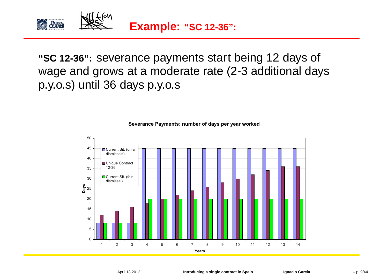

**"SC 12-36":** severance payments start being <sup>12</sup> days of wage and grows at <sup>a</sup> moderate rate (2-3 additional daysp.y.o.s) until 36 days p.y.o.s



**Severance Payments: number of days per year worked**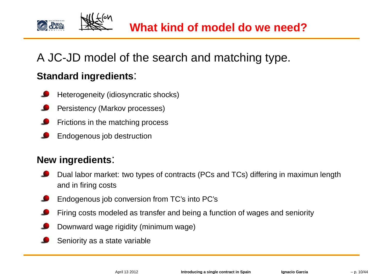

## A JC-JD model of the search and matching type.

## **Standard ingredients**:

- Heterogeneity (idiosyncratic shocks)
- Persistency (Markov processes)
- Frictions in the matching process
- Endogenous job destruction

### **New ingredients**:

- Dual labor market: two types of contracts (PCs and TCs) differing in maximun lengthand in firing costs
- Endogenous job conversion from TC's into PC's
- Firing costs modeled as transfer and being <sup>a</sup> function of wages and seniority
- Downward wage rigidity (minimum wage)
- Seniority as <sup>a</sup> state variable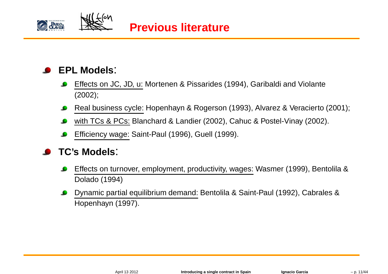



## **EPL Models**:

- Effects on JC, JD, u: Mortenen & Pissarides (1994), Garibaldi and Violante(2002);
- Real business cycle: Hopenhayn & Rogerson (1993), Alvarez & Veracierto (2001);
- with TCs & PCs: Blanchard & Landier (2002), Cahuc & Postel-Vinay (2002).  $\bullet$
- Efficiency wage: Saint-Paul (1996), Guell (1999).

## **TC's Models**:

- Effects on turnover, employment, productivity, wages: Wasmer (1999), Bentolila &Dolado (1994)
- Dynamic partial equilibrium demand: Bentolila & Saint-Paul (1992), Cabrales &Hopenhayn (1997).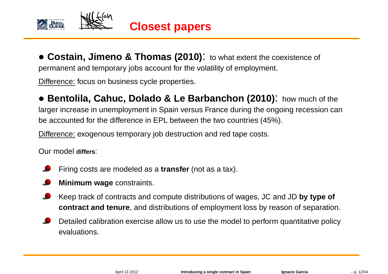

• **Costain, Jimeno & Thomas (2010)**: to what extent the coexistence of permanent and temporary jobs account for the volatility of employment.

Difference: focus on business cycle properties.

• **Bentolila, Cahuc, Dolado & Le Barbanchon (2010)**: how much of the larger increase in unemployment in Spain versus France during the ongoing recession canbe accounted for the difference in EPL between the two countries (45%).

Difference: exogenous temporary job destruction and red tape costs.

Our model **differs**:

- Firing costs are modeled as <sup>a</sup> **transfer** (not as <sup>a</sup> tax).
- **Minimum wage** constraints.
- Keep track of contracts and compute distributions of wages, JC and JD **by type of contract and tenure**, and distributions of employment loss by reason of separation.
- Detailed calibration exercise allow us to use the model to perform quantitative policyevaluations.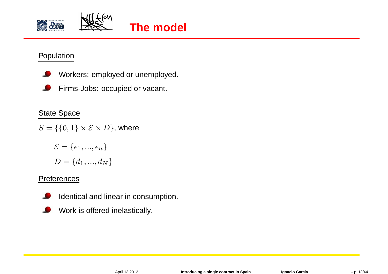



#### Population

- Workers: employed or unemployed.
- Firms-Jobs: occupied or vacant.

#### State Space

 $S = \{\{0,1\} \times \mathcal{E} \times D\}$ , where

$$
\mathcal{E} = \{\epsilon_1, ..., \epsilon_n\}
$$

$$
D = \{d_1, ..., d_N\}
$$

#### **Preferences**

- Identical and linear in consumption.
- Work is offered inelastically.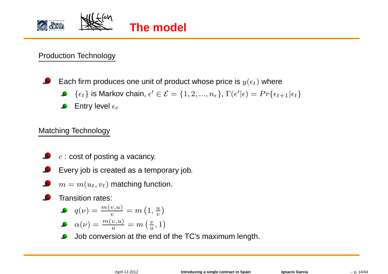

## **The model**

#### Production Technology

Each firm produces one unit of product whose price is  $y(\epsilon_t)$  where

- $\{\epsilon_t\}$  is Markov chain,  $\epsilon' \in \mathcal{E} = \{1, 2, ..., n_{\epsilon}\}, \Gamma(\epsilon'|\epsilon) = Pr\{\epsilon_{t+1}|\epsilon_t\}$
- Entry level  $\epsilon_e$

### Matching Technology

- $c$  : cost of posting a vacancy.
- Every job is created as <sup>a</sup> temporary job.
- $m = m(u_t, v_t)$  matching function.

Transition rates:

$$
\bullet \quad q(\nu) = \frac{m(v, u)}{v} = m\left(1, \frac{u}{v}\right)
$$

$$
\bullet \quad \alpha(\nu) = \frac{m(v, u)}{u} = m\left(\frac{v}{u}, 1\right)
$$

Job conversion at the end of the TC's maximum length. L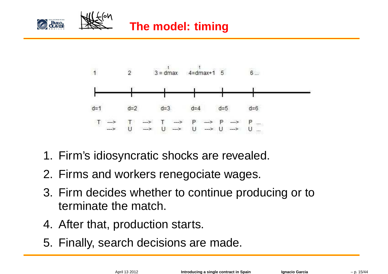



- 1. Firm's idiosyncratic shocks are revealed.
- 2. Firms and workers renegociate wages.
- 3. Firm decides whether to continue producing or toterminate the match.
- 4. After that, production starts.
- 5. Finally, search decisions are made.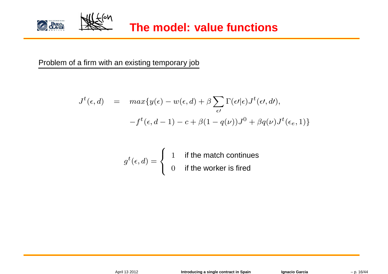

Problem of <sup>a</sup> firm with an existing temporary job

$$
J^{t}(\epsilon,d) = max{y(\epsilon) - w(\epsilon,d) + \beta \sum_{\epsilon'} \Gamma(\epsilon'|\epsilon) J^{t}(\epsilon',d')},
$$
  

$$
-f^{t}(\epsilon,d-1) - c + \beta(1-q(\nu))J^{0} + \beta q(\nu)J^{t}(\epsilon_{e},1)
$$

$$
g^t(\epsilon,d) = \begin{cases} 1 & \text{if the match continues} \\ 0 & \text{if the worker is fired} \end{cases}
$$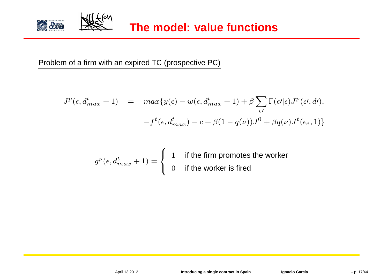

Problem of <sup>a</sup> firm with an expired TC (prospective PC)

$$
J^{p}(\epsilon, d_{max}^{t} + 1) = max{y(\epsilon) - w(\epsilon, d_{max}^{t} + 1) + \beta \sum_{\epsilon'} \Gamma(\epsilon'|\epsilon)J^{p}(\epsilon', d')},
$$

$$
-f^{t}(\epsilon, d_{max}^{t}) - c + \beta(1 - q(\nu))J^{0} + \beta q(\nu)J^{t}(\epsilon_{e}, 1)
$$

$$
g^{p}(\epsilon, d_{max}^{t} + 1) = \begin{cases} 1 & \text{if the firm promotes the worker} \\ 0 & \text{if the worker is fired} \end{cases}
$$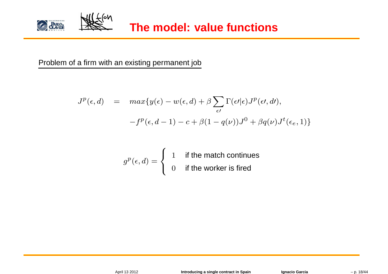

**The model: value functions**

Problem of <sup>a</sup> firm with an existing permanent job

$$
J^{p}(\epsilon, d) = max{y(\epsilon) - w(\epsilon, d) + \beta \sum_{\epsilon'} \Gamma(\epsilon'|\epsilon) J^{p}(\epsilon', d')},
$$
  

$$
-f^{p}(\epsilon, d - 1) - c + \beta(1 - q(\nu))J^{0} + \beta q(\nu)J^{t}(\epsilon_{e}, 1)
$$

$$
g^{p}(\epsilon, d) = \begin{cases} 1 & \text{if the match continues} \\ 0 & \text{if the worker is fired} \end{cases}
$$

April 13 2012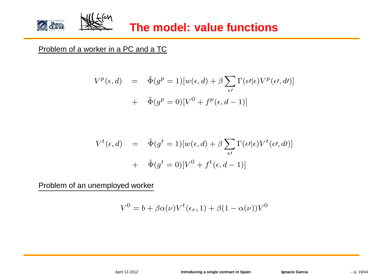

#### Problem of a worker in a PC and a TC

$$
V^{p}(\epsilon, d) = \tilde{\Phi}(g^{p} = 1)[w(\epsilon, d) + \beta \sum_{\epsilon'} \Gamma(\epsilon'|\epsilon) V^{p}(\epsilon', d')] + \tilde{\Phi}(g^{p} = 0)[V^{0} + f^{p}(\epsilon, d - 1)]
$$

$$
V^{t}(\epsilon, d) = \tilde{\Phi}(g^{t} = 1)[w(\epsilon, d) + \beta \sum_{\epsilon'} \Gamma(\epsilon'|\epsilon) V^{t}(\epsilon', d')]
$$

$$
+ \tilde{\Phi}(g^{t} = 0)[V^{0} + f^{t}(\epsilon, d - 1)]
$$

Problem of an unemployed worker

$$
V^{0} = b + \beta \alpha(\nu) V^{t}(\epsilon_{e}, 1) + \beta (1 - \alpha(\nu)) V^{0}
$$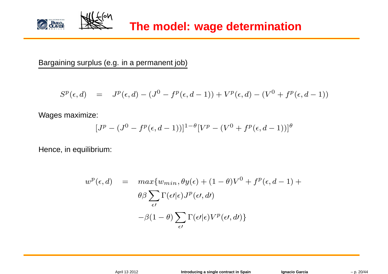

Bargaining surplus (e.g. in <sup>a</sup> permanent job)

$$
S^{p}(\epsilon, d) = J^{p}(\epsilon, d) - (J^{0} - f^{p}(\epsilon, d - 1)) + V^{p}(\epsilon, d) - (V^{0} + f^{p}(\epsilon, d - 1))
$$

Wages maximize:

$$
[J^{p} - (J^{0} - f^{p}(\epsilon, d - 1))]^{1-\theta}[V^{p} - (V^{0} + f^{p}(\epsilon, d - 1))]^{\theta}
$$

Hence, in equilibrium:

$$
w^{p}(\epsilon, d) = \max\{w_{min}, \theta y(\epsilon) + (1 - \theta)V^{0} + f^{p}(\epsilon, d - 1) + \theta \beta \sum_{\epsilon'} \Gamma(\epsilon'|\epsilon)J^{p}(\epsilon', d') - \beta(1 - \theta) \sum_{\epsilon'} \Gamma(\epsilon'|\epsilon)V^{p}(\epsilon', d')\}
$$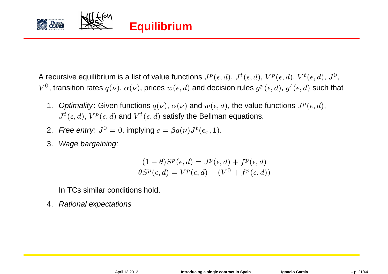

A recursive equilibrium is a list of value functions  $J^p(\epsilon,d),\,J^t(\epsilon,d),\,V^p(\epsilon,d),\,V^t(\epsilon,d),\,J^0,\,$  $V^0$ , transition rates  $q(\nu),\,\alpha(\nu),$  prices  $w(\epsilon,d)$  and decision rules  $g^p(\epsilon,d),\,g^t(\epsilon,d)$  such that

- 1.  $\,$  Optimality: Given functions  $q(\nu),\,\alpha(\nu)$  and  $w(\epsilon,d),$  the value functions  $J^{p}(\epsilon,d),$  $J^t(\epsilon,d)$ ,  $V^p(\epsilon,d)$  and  $V^t(\epsilon,d)$  satisfy the Bellman equations.
- 2. Free entry:  $J^0 = 0$ , implying  $c = \beta q(\nu) J^t(\epsilon_e, 1)$ .
- 3.Wage bargaining:

$$
(1 - \theta)S^{p}(\epsilon, d) = J^{p}(\epsilon, d) + f^{p}(\epsilon, d)
$$

$$
\theta S^{p}(\epsilon, d) = V^{p}(\epsilon, d) - (V^{0} + f^{p}(\epsilon, d))
$$

In TCs similar conditions hold.

4.Rational expectations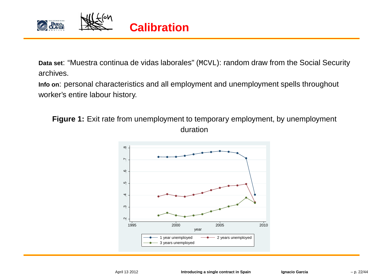

**Data set**: "Muestra continua de vidas laborales" (MCVL): random draw from the Social Securityarchives.

**Info on**: personal characteristics and all employment and unemployment spells throughout worker's entire labour history.

**Figure 1:** Exit rate from unemployment to temporary employment, by unemployment duration

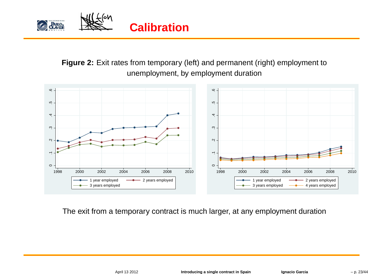

**Figure 2:** Exit rates from temporary (left) and permanent (right) employment tounemployment, by employment duration



The exit from <sup>a</sup> temporary contract is much larger, at any employment duration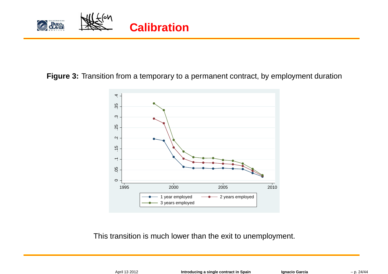

#### **Figure 3:** Transition from <sup>a</sup> temporary to <sup>a</sup> permanent contract, by employment duration



This transition is much lower than the exit to unemployment.

| April 13 2012 |
|---------------|
|---------------|

**Introducing <sup>a</sup> single contract in Spain Ignacio Garcia** – p. 24/44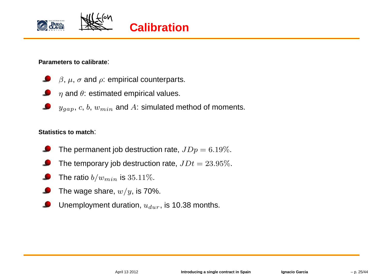



**Parameters to calibrate**:

- $\beta$ ,  $\mu$ ,  $\sigma$  and  $\rho$ : empirical counterparts.
- $\eta$  and  $\theta$ : estimated empirical values.
- $\left(y_{gap},\,c,\,b,\,w_{min}\right.$  and  $A$ : simulated method of moments.

#### **Statistics to match**:

- The permanent job destruction rate,  $J D p = 6.19\%.$
- The temporary job destruction rate,  $JDt = 23.95\%.$
- The ratio  $b/w_{min}$  is  $35.11\%$ .
- The wage share,  $w/y$ , is 70%.
- Unemployment duration,  $u_{dur}$ , is 10.38 months.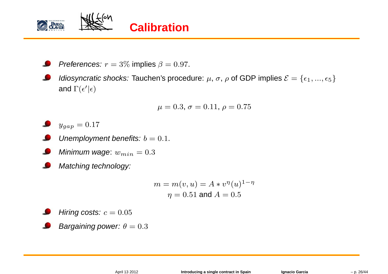

*Preferences:*  $r = 3\%$  implies  $\beta = 0.97$ .

*Idiosyncratic shocks:* Tauchen's procedure:  $\mu$ ,  $\sigma$ ,  $\rho$  of GDP implies  $\mathcal{E} = \{\epsilon_1, ..., \epsilon_5\}$ and  $\Gamma(\epsilon'|\epsilon)$ 

$$
\mu = 0.3, \sigma = 0.11, \rho = 0.75
$$

 $y_{gap}=0.17$ 

- Unemployment benefits:  $b=0.1$ .
- Minimum wage:  $w_{min}=0.3$
- Matching technology:

$$
m = m(v, u) = A * v^{\eta}(u)^{1-\eta}
$$

$$
\eta = 0.51 \text{ and } A = 0.5
$$

Hiring costs:  $c=0.05$ 

Bargaining power:  $\theta=0.3$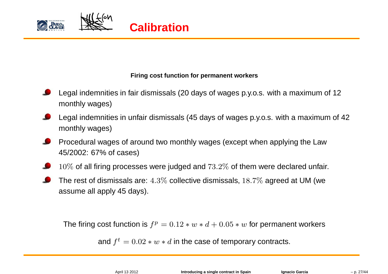

#### **Firing cost function for permanent workers**

- Legal indemnities in fair dismissals (20 days of wages p.y.o.s. with <sup>a</sup> maximum of <sup>12</sup>monthly wages)
- Legal indemnities in unfair dismissals (45 days of wages p.y.o.s. with <sup>a</sup> maximum of <sup>42</sup>monthly wages)
- Procedural wages of around two monthly wages (except when applying the Law45/2002: 67% of cases)
- $10\%$  of all firing processes were judged and  $73.2\%$  of them were declared unfair.
- The rest of dismissals are: <sup>4</sup>.3% collective dismissals, <sup>18</sup>.7% agreed at UM (we assume all apply 45 days).

The firing cost function is  $f^p=0.12*w*d+0.05*w$  for permanent workers

and  $f^t=0.02*w*d$  in the case of temporary contracts.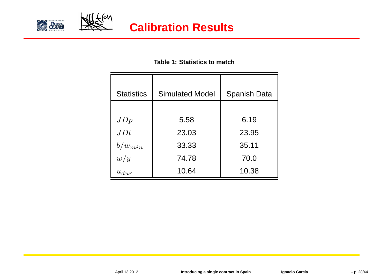



#### **Table 1: Statistics to match**

| <b>Statistics</b> | <b>Simulated Model</b> |                     |
|-------------------|------------------------|---------------------|
|                   |                        | <b>Spanish Data</b> |
|                   |                        |                     |
| JDp               | 5.58                   | 6.19                |
| JDt               | 23.03                  | 23.95               |
| $b/w_{min}$       | 33.33                  | 35.11               |
| w/y               | 74.78                  | 70.0                |
| $u_{dur}$         | 10.64                  | 10.38               |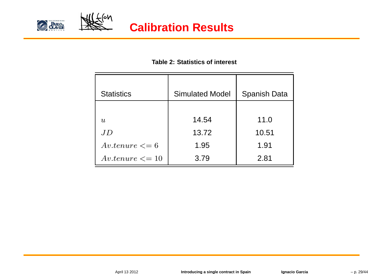



#### **Table 2: Statistics of interest**

| <b>Statistics</b>   | <b>Simulated Model</b> | <b>Spanish Data</b> |
|---------------------|------------------------|---------------------|
|                     |                        |                     |
| u                   | 14.54                  | 11.0                |
| JD                  | 13.72                  | 10.51               |
| $Av.tenure \leq 6$  | 1.95                   | 1.91                |
| $Av.tenure \leq 10$ | 3.79                   | 2.81                |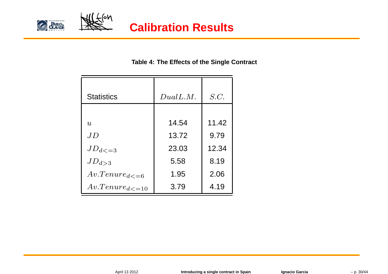



#### **Table 4: The Effects of the Single Contract**

| <b>Statistics</b>        | DualL.M. | S.C.  |
|--------------------------|----------|-------|
|                          |          |       |
| u                        | 14.54    | 11.42 |
| JD                       | 13.72    | 9.79  |
| $JD_{d \lt = 3}$         | 23.03    | 12.34 |
| $JD_{d>3}$               | 5.58     | 8.19  |
| $Av. Tenure_{d \leq 6}$  | 1.95     | 2.06  |
| $Av. Tenure_{d \leq 10}$ | 3.79     | 4.19  |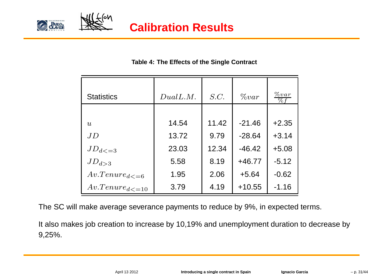



#### **Table 4: The Effects of the Single Contract**

| <b>Statistics</b>        | DualL.M. | S.C.  | $\%var$  | $\%var$<br>$\% f$ |
|--------------------------|----------|-------|----------|-------------------|
|                          |          |       |          |                   |
| $\boldsymbol{u}$         | 14.54    | 11.42 | $-21.46$ | $+2.35$           |
| JD                       | 13.72    | 9.79  | $-28.64$ | $+3.14$           |
| $JD_{d \lt = 3}$         | 23.03    | 12.34 | $-46.42$ | $+5.08$           |
| $JD_{d>3}$               | 5.58     | 8.19  | $+46.77$ | $-5.12$           |
| $Av. Tenure_{d \leq 6}$  | 1.95     | 2.06  | $+5.64$  | $-0.62$           |
| $Av. Tenure_{d \leq 10}$ | 3.79     | 4.19  | $+10.55$ | $-1.16$           |

The SC will make average severance payments to reduce by 9%, in expected terms.

It also makes job creation to increase by 10,19% and unemployment duration to decrease by9,25%.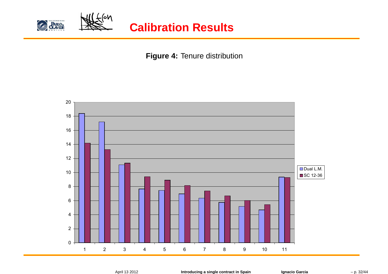

**Figure 4:** Tenure distribution



April 13 2012

**Introducing <sup>a</sup> single contract in Spain Ignacio Garcia** – p. 32/44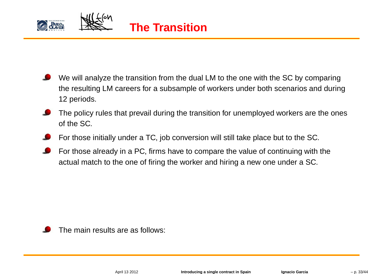



- We will analyze the transition from the dual LM to the one with the SC by comparing the resulting LM careers for <sup>a</sup> subsample of workers under both scenarios and during12 periods.
- The policy rules that prevail during the transition for unemployed workers are the onesof the SC.
- For those initially under <sup>a</sup> TC, job conversion will still take place but to the SC.
- For those already in <sup>a</sup> PC, firms have to compare the value of continuing with theactual match to the one of firing the worker and hiring <sup>a</sup> new one under <sup>a</sup> SC.

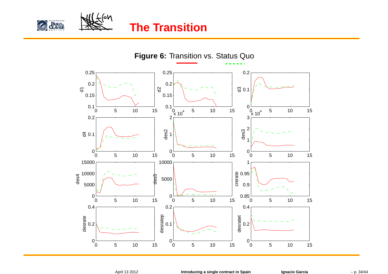



## **The Transition**

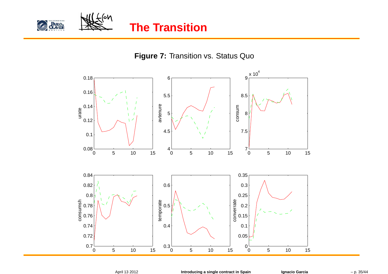



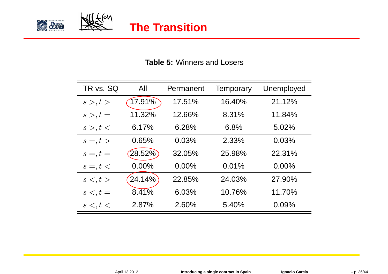



#### **Table 5:** Winners and Losers

| TR vs. SQ    | All    | Permanent | Temporary | Unemployed |
|--------------|--------|-----------|-----------|------------|
| s >, t >     | 17.91% | 17.51%    | 16.40%    | 21.12%     |
| $s >, t =$   | 11.32% | 12.66%    | 8.31%     | 11.84%     |
| s >, t <     | 6.17%  | 6.28%     | 6.8%      | 5.02%      |
| $s =, t >$   | 0.65%  | 0.03%     | 2.33%     | 0.03%      |
| $s =, t =$   | 28.52% | 32.05%    | 25.98%    | 22.31%     |
| $s =, t <$   | 0.00%  | $0.00\%$  | 0.01%     | $0.00\%$   |
| $s \lt, t >$ | 24.14% | 22.85%    | 24.03%    | 27.90%     |
| $s \lt, t =$ | 8.41%  | 6.03%     | 10.76%    | 11.70%     |
| s <, t <     | 2.87%  | 2.60%     | 5.40%     | 0.09%      |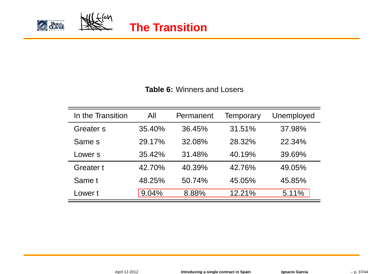



#### **Table 6:** Winners and Losers

| In the Transition | All    | Permanent | Temporary | Unemployed |
|-------------------|--------|-----------|-----------|------------|
| Greater s         | 35.40% | 36.45%    | 31.51%    | 37.98%     |
| Same s            | 29.17% | 32.08%    | 28.32%    | 22.34%     |
| Lower s           | 35.42% | 31.48%    | 40.19%    | 39.69%     |
| Greater t         | 42.70% | 40.39%    | 42.76%    | 49.05%     |
| Same t            | 48.25% | 50.74%    | 45.05%    | 45.85%     |
| Lower t           | 9.04%  | 8.88%     | 12.21%    | 5.11%      |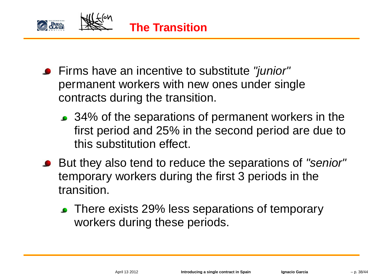

- Firms have an incentive to substitute "*junior"* permanent workers with new ones under singlecontracts during the transition.
	- 34% of the separations of permanent workers in the first period and 25% in the second period are due tothis substitution effect.
- But they also tend to reduce the separations of "senior" temporary workers during the first 3 periods in thetransition.
	- **There exists 29% less separations of temporary** workers during these periods.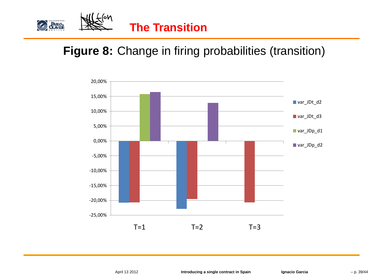

## **Figure 8:** Change in firing probabilities (transition)

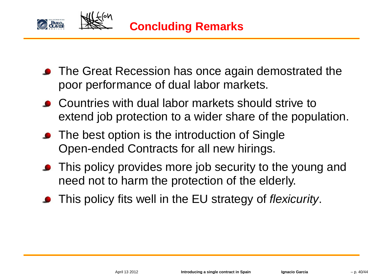

- **The Great Recession has once again demostrated the** poor performance of dual labor markets.
- Countries with dual labor markets should strive to extend job protection to <sup>a</sup> wider share of the population.
- The best option is the introduction of Single Open-ended Contracts for all new hirings.
- This policy provides more job security to the young and need not to harm the protection of the elderly.
- This policy fits well in the EU strategy of *flexicurity*.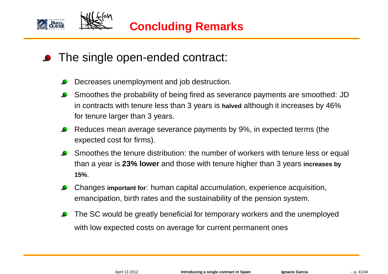

- **•** The single open-ended contract:
	- Decreases unemployment and job destruction.
	- Smoothes the probability of being fired as severance payments are smoothed: JDin contracts with tenure less than 3 years is **halved** although it increases by 46%for tenure larger than 3 years.
	- Reduces mean average severance payments by 9%, in expected terms (the $\bullet$ expected cost for firms).
	- Smoothes the tenure distribution: the number of workers with tenure less or equal than <sup>a</sup> year is **23% lower** and those with tenure higher than <sup>3</sup> years **increases by 15%**.
	- Changes **important for**: human capital accumulation, experience acquisition, emancipation, birth rates and the sustainability of the pension system.
	- The SC would be greatly beneficial for temporary workers and the unemployedwith low expected costs on average for current permanent ones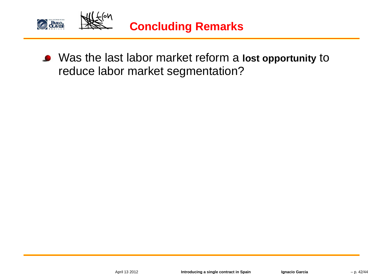

Was the last labor market reform a lost opportunity to reduce labor market segmentation?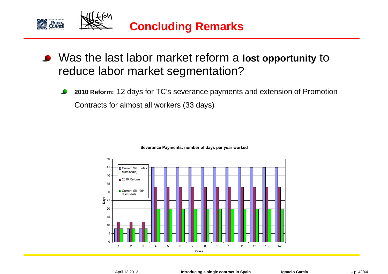

- Was the last labor market reform a lost opportunity to reduce labor market segmentation?
	- **2010 Reform:** <sup>12</sup> days for TC's severance payments and extension of PromotionContracts for almost all workers (33 days)



#### **Severance Payments: number of days per year worked**